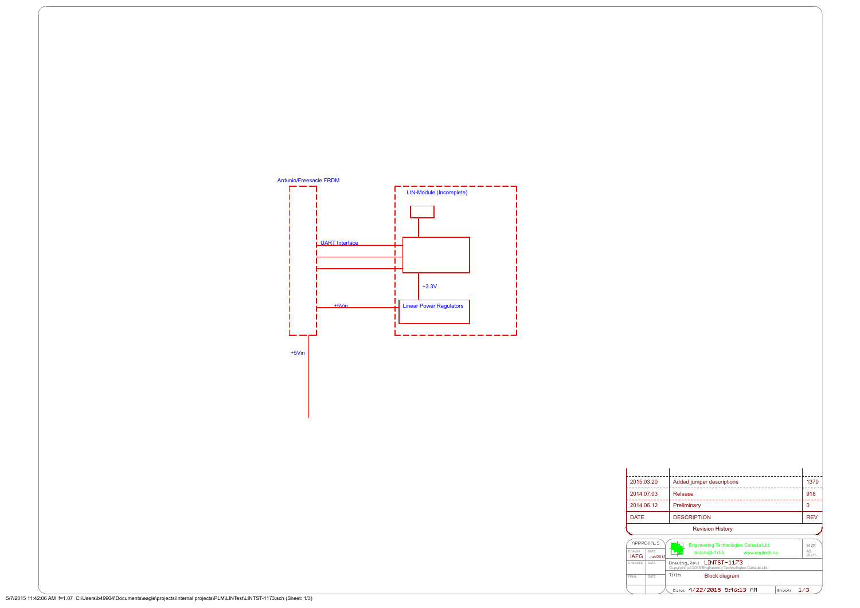|             | <b>Revision History</b>   |            |
|-------------|---------------------------|------------|
| <b>DATE</b> | <b>DESCRIPTION</b>        | <b>REV</b> |
| 2014.06.12  | Preliminary               | 0          |
| 2014.07.03  | Release                   | 918        |
| 2015.03.20  | Added jumper descriptions | 1370       |
|             |                           |            |

DATE Copyright (c) 2015 Engineering Technologies Canada Ltd. 902-628-1705 www.engtech.ca  $\frac{1}{20 \times 15}$ <br>
DATE Drawing Rev: LINTST-1173<br>
DATE Title: **Block diagram 2002-628-1705** www.engtech.ca  $\begin{array}{|c|} \hline \text{A2} \\ \hline 20 \times 15 \end{array}$ DATE  $\left| \cdot \right|$   $\left| \cdot \right|$ **IAFG** Jun/2013 CHECKED | DATE | Draw DATE | Drawing Block diagram FINAL DATE Date: 4/22/2015 9:46:13 AM Sheet:  $1/3$ 

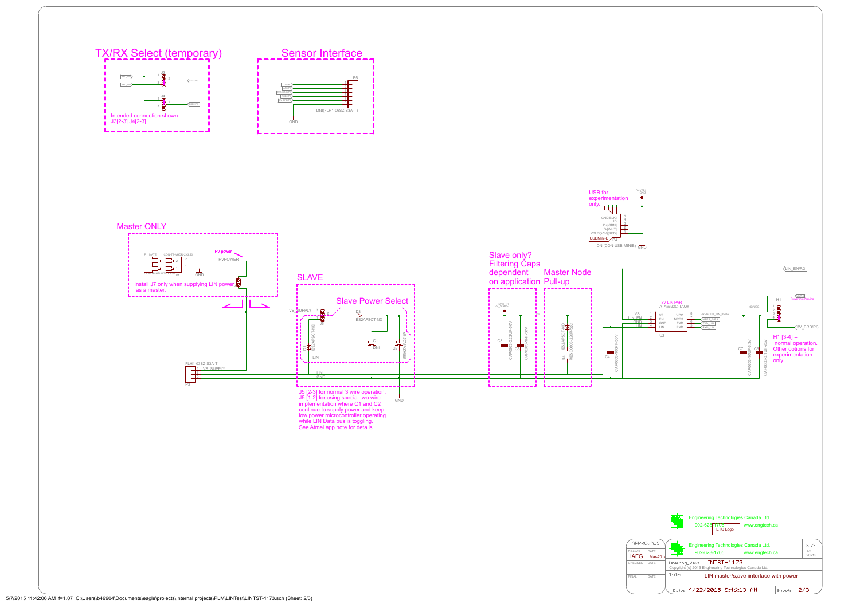Master ONLY HV pow CON-TB-VHDR-2X3.50 P1\_MATE CON-TB-VHDR-2 2 HVPOWER 2  $\overline{\phantom{a}^2}$  $\frac{1}{1}$   $\frac{1}{1}$   $\frac{1}{1}$   $\frac{1}{1}$   $\frac{1}{1}$   $\frac{1}{1}$   $\frac{1}{1}$   $\frac{1}{1}$   $\frac{1}{1}$   $\frac{1}{1}$   $\frac{1}{1}$   $\frac{1}{1}$   $\frac{1}{1}$   $\frac{1}{1}$   $\frac{1}{1}$   $\frac{1}{1}$   $\frac{1}{1}$   $\frac{1}{1}$   $\frac{1}{1}$   $\frac{1}{1}$   $\frac{1}{1}$   $\frac{1}{1}$  1  $\leftarrow$  $\overline{CON-TB}$ -HPLUG-2X3.50 GND P1 SLAVE<br>
state that the contract of the contract of the contract of the contract of the contract of the contract of the<br>
state on application Pull-up J7 Install J7 only when supplying LIN power as a master. a a a a a a a d Slave Power Select  $\frac{3}{2}$   $\sim$ D<sub>3</sub> 2  $\sim$  $18$ ES2AFSCT-ND  $\sqrt{5}$ ES2AFSCT-ND EEHZA1V271P  $C1$   $\qquad \qquad +$   $\qquad \qquad \sim$   $\qquad$ <u> 그는 모두 고</u> 그는 것이다. DNI C2  $C2 \mid \text{S} \mid \text{L}$ LIN -------------------------FLH1-03SZ-S3A-T <u>1 VS\_SUPPLY<br>2<br>3</u> VS\_SUPPLY LIN GND P3 and the state of the state of the state of the state of the state of the state of the state of the state of the state of the state of the state of the state of the state of the state of the state of the state of the sta --- J J5 [2-3] for normal 3 wire operation.  $\frac{1}{\sqrt{2}}$  J5 [1-2] for using special two wire GND implementation where C1 and C2 continue to supply power and keep low power microcontroller operating while LIN Data bus is toggling.<br>See Atmel app note for details.



LIN master/s;ave iinterface with power

Sheet:  $2/3$ 

Date: 4/22/2015 9:46:13 AM

|                                                                                                                                                                                                                                                                         | DNI(TP)<br>GND<br><b>USB</b> for<br>experimentation<br>only.<br>$\overline{r}$<br>GND[BLK]<br>ID<br>D+[GRN]<br>D-[WHT]<br>VBUS(+5V)[RED]<br>$\overline{2}$<br>USBMini-B <sub>/P4</sub><br>$DNI(CON-USB-MINIB)$ $\frac{1}{GND}$                                                                                                                                                                                                                                                                                                                                                                                                                                                                                                                                                                                                                                                                        |
|-------------------------------------------------------------------------------------------------------------------------------------------------------------------------------------------------------------------------------------------------------------------------|-------------------------------------------------------------------------------------------------------------------------------------------------------------------------------------------------------------------------------------------------------------------------------------------------------------------------------------------------------------------------------------------------------------------------------------------------------------------------------------------------------------------------------------------------------------------------------------------------------------------------------------------------------------------------------------------------------------------------------------------------------------------------------------------------------------------------------------------------------------------------------------------------------|
| <b>SLAVE</b>                                                                                                                                                                                                                                                            | Slave only?<br><b>Filtering Caps</b><br>$\sqrt{\text{LIN\_EN/P.3}}$<br>dependent<br><b>Master Node</b><br>on application Pull-up                                                                                                                                                                                                                                                                                                                                                                                                                                                                                                                                                                                                                                                                                                                                                                      |
| <b>Slave Power Select</b><br><u>VS_SUPPLY 3</u><br>D <sub>3</sub><br>ES2AFSCT-ND<br>AFSCT-ND<br>271P<br>$\frac{1}{\sqrt{\frac{1}{n}}}$<br>$\frac{1}{2}$<br>$E\overline{\mathbf{A}}_{\mathbf{A}}^{\mathbf{A}}$<br>C2<br>N<br>夁<br>LIN<br>LIN<br><b>GND</b>               | VINE3<br>Power into Arduino<br>H1<br>3V LIN PART!<br>ATA6623C-TAQY<br><b>DNI(TP)</b><br>VS_SLAVE<br>$+5VUSB$<br>$\frac{1}{2}$<br>- 0<br><b>VSL</b><br>VREGOUT LIN 85MA<br>${\sf VCC}$<br>VS<br><u>LINEN</u><br>GND<br>LIN<br>$\mathcal{D}$<br>$\mathsf{EN}$<br>NRES<br>TXD<br>RXD<br>NRES_S/P.3<br>-0<br>3<br>GND<br>LIN<br>$\begin{tabular}{ c c } \hline \hline TXD\_LIN \\ \hline RXD\_LIN \\ \hline \end{tabular}$<br>$-50V$<br>$R4$ ES2AFSCT-ND<br>RESC0603-220R-522<br>$\overline{4}$<br>$\sqrt{3V_BRD/P.3}$<br>-50V<br>3-0.22UF-<br>U2<br>$H1 [3-4] =$<br>$\sim$ 0.0<br>$\overline{\leq}$<br>$rac{1}{\sqrt{1-\frac{1}{\sqrt{2}}}}$<br>$F-6.3V$<br>25V<br>normal operation.<br>Other options for<br>100PF-<br>$\overline{\overline{55}}$<br>CAP060<br>CAP060<br>C7<br>$\frac{1}{\sqrt{1}}$<br>$\overline{c4}$<br>÷<br>experimentation<br>CAP0603-10L<br>CAP0603-<br>$0603 - 0.$<br>only.<br>GAP |
| J5 [2-3] for normal 3 wire operation.<br>J5 [1-2] for using special two wire<br>implementation where C1 and C2<br>GND<br>continue to supply power and keep<br>low power microcontroller operating<br>while LIN Data bus is toggling.<br>See Atmel app note for details. |                                                                                                                                                                                                                                                                                                                                                                                                                                                                                                                                                                                                                                                                                                                                                                                                                                                                                                       |
|                                                                                                                                                                                                                                                                         | Engineering Technologies Canada Ltd.<br>▓▘ <mark>ア</mark>                                                                                                                                                                                                                                                                                                                                                                                                                                                                                                                                                                                                                                                                                                                                                                                                                                             |
|                                                                                                                                                                                                                                                                         | 902-628-1705<br>ETC Logo<br>www.engtech.ca<br>APPROVALS<br>壓刀<br><b>Engineering Technologies Canada Ltd.</b><br>SIZE<br>A2<br>DATE<br><b>DRAWN</b><br>902-628-1705<br>www.engtech.ca<br>20x15<br><b>IAFG</b><br>Mar-2014<br>Drawing_Rev: LINTST-1173<br>CHECKED DATE<br>Copyright (c) 2015 Engineering Technologies Canada Ltd.<br>Title:<br>LIN master/s; ave iinterface with power<br>DATE<br><b>FINAL</b>                                                                                                                                                                                                                                                                                                                                                                                                                                                                                          |

FINAL DATE